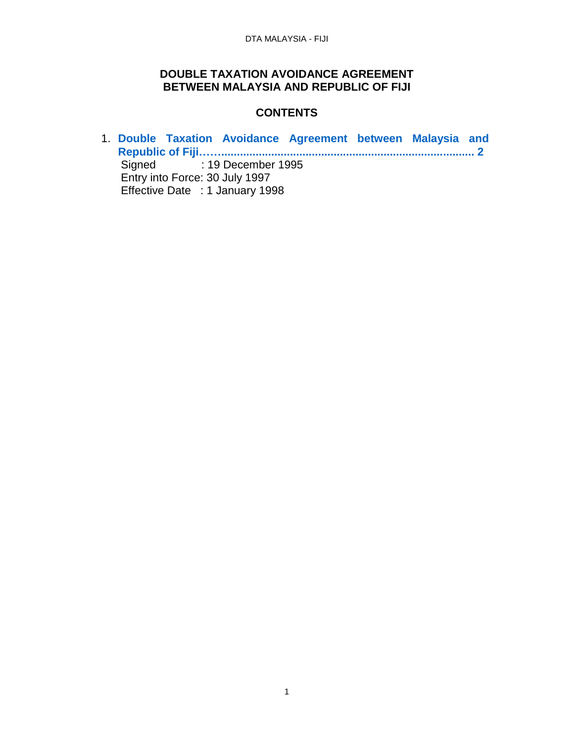### **DOUBLE TAXATION AVOIDANCE AGREEMENT BETWEEN MALAYSIA AND REPUBLIC OF FIJI**

## **CONTENTS**

1. **[Double Taxation Avoidance Agreement between Malaysia and](#page-1-0)  [Republic of Fiji…….................................................................................](#page-1-0) 2** Signed : 19 December 1995 Entry into Force: 30 July 1997 Effective Date : 1 January 1998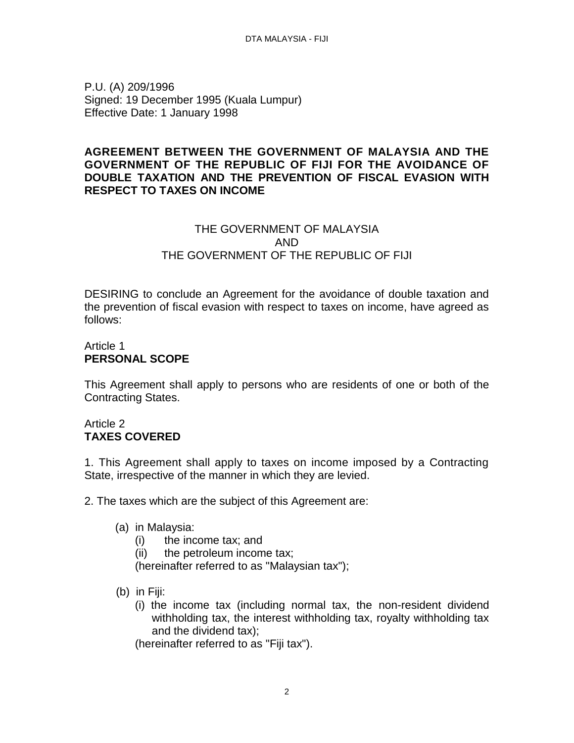<span id="page-1-0"></span>P.U. (A) 209/1996 Signed: 19 December 1995 (Kuala Lumpur) Effective Date: 1 January 1998

### **AGREEMENT BETWEEN THE GOVERNMENT OF MALAYSIA AND THE GOVERNMENT OF THE REPUBLIC OF FIJI FOR THE AVOIDANCE OF DOUBLE TAXATION AND THE PREVENTION OF FISCAL EVASION WITH RESPECT TO TAXES ON INCOME**

# THE GOVERNMENT OF MALAYSIA AND THE GOVERNMENT OF THE REPUBLIC OF FIJI

DESIRING to conclude an Agreement for the avoidance of double taxation and the prevention of fiscal evasion with respect to taxes on income, have agreed as follows:

# Article 1 **PERSONAL SCOPE**

This Agreement shall apply to persons who are residents of one or both of the Contracting States.

### Article 2 **TAXES COVERED**

1. This Agreement shall apply to taxes on income imposed by a Contracting State, irrespective of the manner in which they are levied.

2. The taxes which are the subject of this Agreement are:

- (a) in Malaysia:
	- (i) the income tax; and
	- (ii) the petroleum income tax;

(hereinafter referred to as "Malaysian tax");

- (b) in Fiji:
	- (i) the income tax (including normal tax, the non-resident dividend withholding tax, the interest withholding tax, royalty withholding tax and the dividend tax);

(hereinafter referred to as "Fiji tax").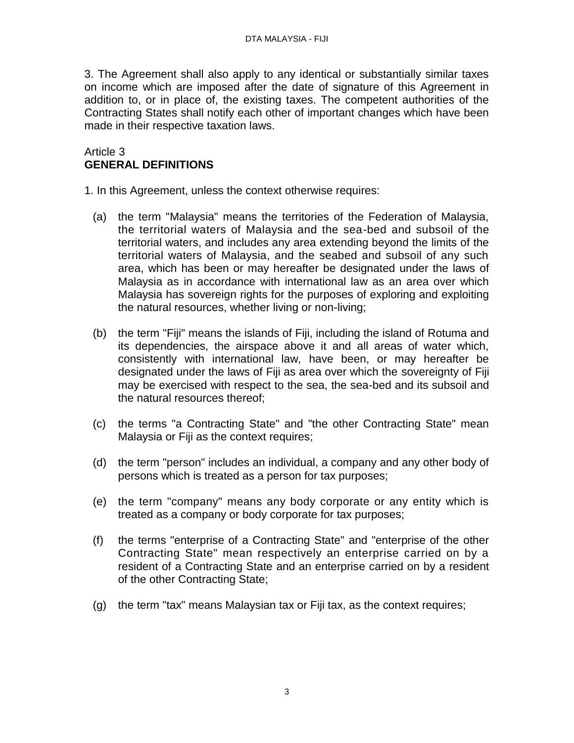3. The Agreement shall also apply to any identical or substantially similar taxes on income which are imposed after the date of signature of this Agreement in addition to, or in place of, the existing taxes. The competent authorities of the Contracting States shall notify each other of important changes which have been made in their respective taxation laws.

### Article 3 **GENERAL DEFINITIONS**

1. In this Agreement, unless the context otherwise requires:

- (a) the term "Malaysia" means the territories of the Federation of Malaysia, the territorial waters of Malaysia and the sea-bed and subsoil of the territorial waters, and includes any area extending beyond the limits of the territorial waters of Malaysia, and the seabed and subsoil of any such area, which has been or may hereafter be designated under the laws of Malaysia as in accordance with international law as an area over which Malaysia has sovereign rights for the purposes of exploring and exploiting the natural resources, whether living or non-living;
- (b) the term "Fiji" means the islands of Fiji, including the island of Rotuma and its dependencies, the airspace above it and all areas of water which, consistently with international law, have been, or may hereafter be designated under the laws of Fiji as area over which the sovereignty of Fiji may be exercised with respect to the sea, the sea-bed and its subsoil and the natural resources thereof;
- (c) the terms "a Contracting State" and "the other Contracting State" mean Malaysia or Fiji as the context requires;
- (d) the term "person" includes an individual, a company and any other body of persons which is treated as a person for tax purposes;
- (e) the term "company" means any body corporate or any entity which is treated as a company or body corporate for tax purposes;
- (f) the terms "enterprise of a Contracting State" and "enterprise of the other Contracting State" mean respectively an enterprise carried on by a resident of a Contracting State and an enterprise carried on by a resident of the other Contracting State;
- (g) the term "tax" means Malaysian tax or Fiji tax, as the context requires;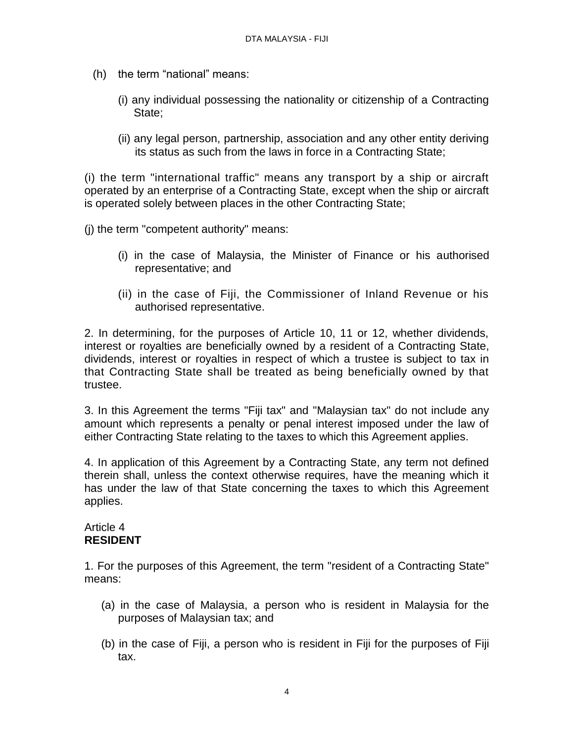- (h) the term "national" means:
	- (i) any individual possessing the nationality or citizenship of a Contracting State;
	- (ii) any legal person, partnership, association and any other entity deriving its status as such from the laws in force in a Contracting State;

(i) the term "international traffic" means any transport by a ship or aircraft operated by an enterprise of a Contracting State, except when the ship or aircraft is operated solely between places in the other Contracting State;

(j) the term "competent authority" means:

- (i) in the case of Malaysia, the Minister of Finance or his authorised representative; and
- (ii) in the case of Fiji, the Commissioner of Inland Revenue or his authorised representative.

2. In determining, for the purposes of Article 10, 11 or 12, whether dividends, interest or royalties are beneficially owned by a resident of a Contracting State, dividends, interest or royalties in respect of which a trustee is subject to tax in that Contracting State shall be treated as being beneficially owned by that trustee.

3. In this Agreement the terms "Fiji tax" and "Malaysian tax" do not include any amount which represents a penalty or penal interest imposed under the law of either Contracting State relating to the taxes to which this Agreement applies.

4. In application of this Agreement by a Contracting State, any term not defined therein shall, unless the context otherwise requires, have the meaning which it has under the law of that State concerning the taxes to which this Agreement applies.

### Article 4 **RESIDENT**

1. For the purposes of this Agreement, the term "resident of a Contracting State" means:

- (a) in the case of Malaysia, a person who is resident in Malaysia for the purposes of Malaysian tax; and
- (b) in the case of Fiji, a person who is resident in Fiji for the purposes of Fiji tax.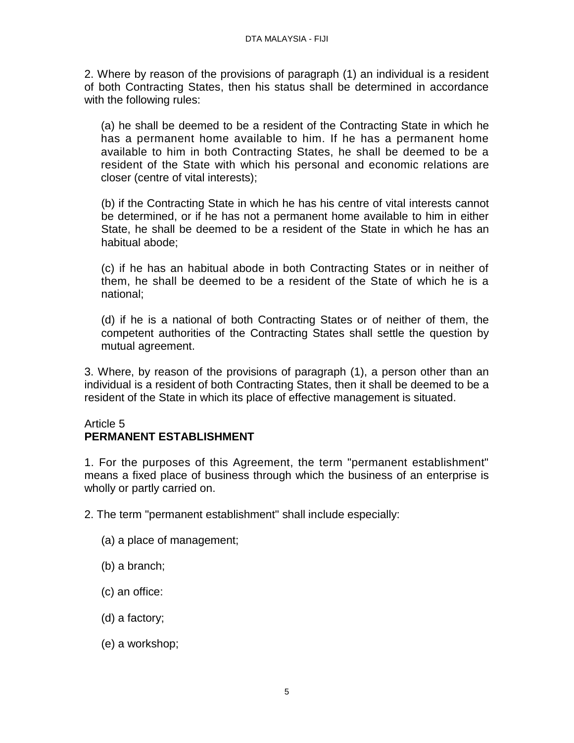2. Where by reason of the provisions of paragraph (1) an individual is a resident of both Contracting States, then his status shall be determined in accordance with the following rules:

 (a) he shall be deemed to be a resident of the Contracting State in which he has a permanent home available to him. If he has a permanent home available to him in both Contracting States, he shall be deemed to be a resident of the State with which his personal and economic relations are closer (centre of vital interests);

(b) if the Contracting State in which he has his centre of vital interests cannot be determined, or if he has not a permanent home available to him in either State, he shall be deemed to be a resident of the State in which he has an habitual abode;

(c) if he has an habitual abode in both Contracting States or in neither of them, he shall be deemed to be a resident of the State of which he is a national;

(d) if he is a national of both Contracting States or of neither of them, the competent authorities of the Contracting States shall settle the question by mutual agreement.

3. Where, by reason of the provisions of paragraph (1), a person other than an individual is a resident of both Contracting States, then it shall be deemed to be a resident of the State in which its place of effective management is situated.

### Article 5 **PERMANENT ESTABLISHMENT**

1. For the purposes of this Agreement, the term "permanent establishment" means a fixed place of business through which the business of an enterprise is wholly or partly carried on.

2. The term "permanent establishment" shall include especially:

- (a) a place of management;
- (b) a branch;
- (c) an office:
- (d) a factory;
- (e) a workshop;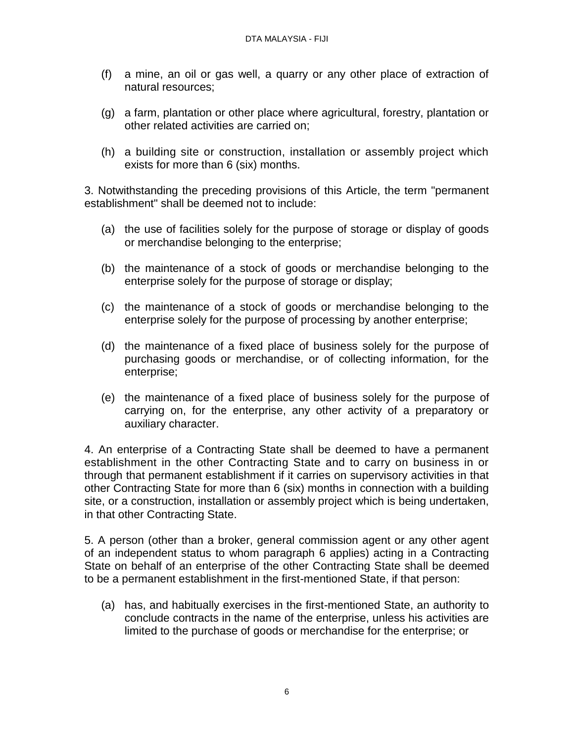- (f) a mine, an oil or gas well, a quarry or any other place of extraction of natural resources;
- (g) a farm, plantation or other place where agricultural, forestry, plantation or other related activities are carried on;
- (h) a building site or construction, installation or assembly project which exists for more than 6 (six) months.

3. Notwithstanding the preceding provisions of this Article, the term "permanent establishment" shall be deemed not to include:

- (a) the use of facilities solely for the purpose of storage or display of goods or merchandise belonging to the enterprise;
- (b) the maintenance of a stock of goods or merchandise belonging to the enterprise solely for the purpose of storage or display;
- (c) the maintenance of a stock of goods or merchandise belonging to the enterprise solely for the purpose of processing by another enterprise;
- (d) the maintenance of a fixed place of business solely for the purpose of purchasing goods or merchandise, or of collecting information, for the enterprise;
- (e) the maintenance of a fixed place of business solely for the purpose of carrying on, for the enterprise, any other activity of a preparatory or auxiliary character.

4. An enterprise of a Contracting State shall be deemed to have a permanent establishment in the other Contracting State and to carry on business in or through that permanent establishment if it carries on supervisory activities in that other Contracting State for more than 6 (six) months in connection with a building site, or a construction, installation or assembly project which is being undertaken, in that other Contracting State.

5. A person (other than a broker, general commission agent or any other agent of an independent status to whom paragraph 6 applies) acting in a Contracting State on behalf of an enterprise of the other Contracting State shall be deemed to be a permanent establishment in the first-mentioned State, if that person:

(a) has, and habitually exercises in the first-mentioned State, an authority to conclude contracts in the name of the enterprise, unless his activities are limited to the purchase of goods or merchandise for the enterprise; or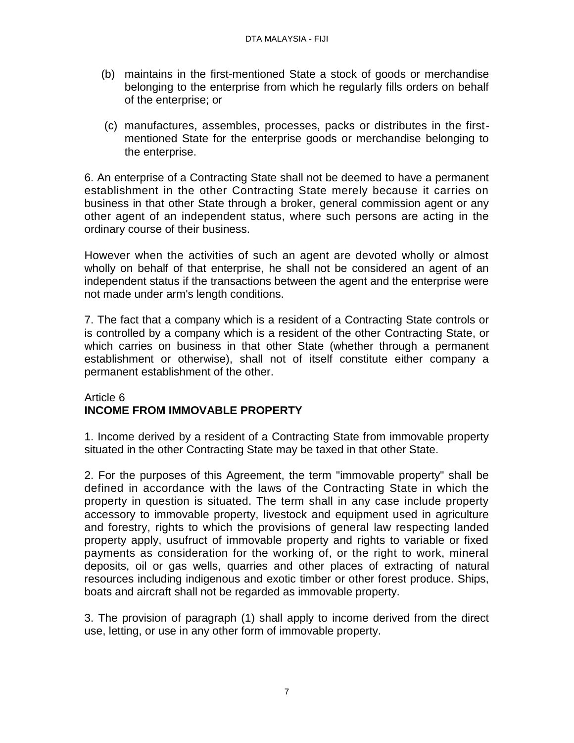- (b) maintains in the first-mentioned State a stock of goods or merchandise belonging to the enterprise from which he regularly fills orders on behalf of the enterprise; or
- (c) manufactures, assembles, processes, packs or distributes in the firstmentioned State for the enterprise goods or merchandise belonging to the enterprise.

6. An enterprise of a Contracting State shall not be deemed to have a permanent establishment in the other Contracting State merely because it carries on business in that other State through a broker, general commission agent or any other agent of an independent status, where such persons are acting in the ordinary course of their business.

However when the activities of such an agent are devoted wholly or almost wholly on behalf of that enterprise, he shall not be considered an agent of an independent status if the transactions between the agent and the enterprise were not made under arm's length conditions.

7. The fact that a company which is a resident of a Contracting State controls or is controlled by a company which is a resident of the other Contracting State, or which carries on business in that other State (whether through a permanent establishment or otherwise), shall not of itself constitute either company a permanent establishment of the other.

### Article 6 **INCOME FROM IMMOVABLE PROPERTY**

1. Income derived by a resident of a Contracting State from immovable property situated in the other Contracting State may be taxed in that other State.

2. For the purposes of this Agreement, the term "immovable property" shall be defined in accordance with the laws of the Contracting State in which the property in question is situated. The term shall in any case include property accessory to immovable property, livestock and equipment used in agriculture and forestry, rights to which the provisions of general law respecting landed property apply, usufruct of immovable property and rights to variable or fixed payments as consideration for the working of, or the right to work, mineral deposits, oil or gas wells, quarries and other places of extracting of natural resources including indigenous and exotic timber or other forest produce. Ships, boats and aircraft shall not be regarded as immovable property.

3. The provision of paragraph (1) shall apply to income derived from the direct use, letting, or use in any other form of immovable property.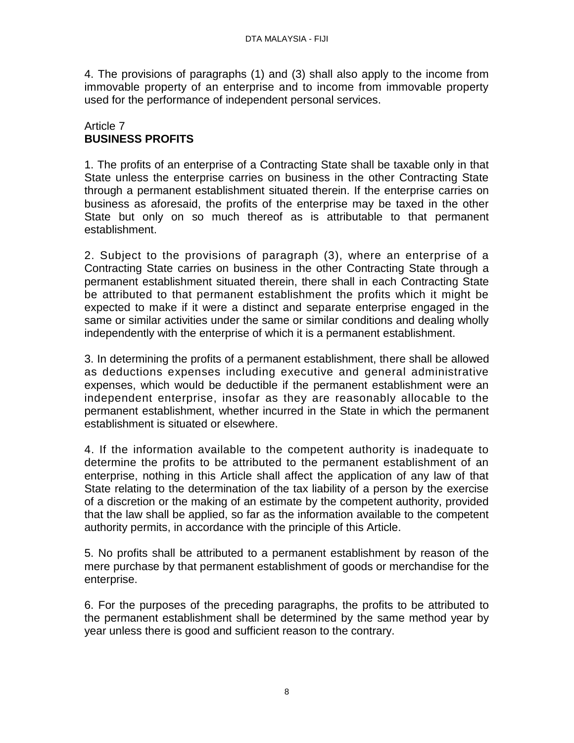4. The provisions of paragraphs (1) and (3) shall also apply to the income from immovable property of an enterprise and to income from immovable property used for the performance of independent personal services.

### Article 7 **BUSINESS PROFITS**

1. The profits of an enterprise of a Contracting State shall be taxable only in that State unless the enterprise carries on business in the other Contracting State through a permanent establishment situated therein. If the enterprise carries on business as aforesaid, the profits of the enterprise may be taxed in the other State but only on so much thereof as is attributable to that permanent establishment.

2. Subject to the provisions of paragraph (3), where an enterprise of a Contracting State carries on business in the other Contracting State through a permanent establishment situated therein, there shall in each Contracting State be attributed to that permanent establishment the profits which it might be expected to make if it were a distinct and separate enterprise engaged in the same or similar activities under the same or similar conditions and dealing wholly independently with the enterprise of which it is a permanent establishment.

3. In determining the profits of a permanent establishment, there shall be allowed as deductions expenses including executive and general administrative expenses, which would be deductible if the permanent establishment were an independent enterprise, insofar as they are reasonably allocable to the permanent establishment, whether incurred in the State in which the permanent establishment is situated or elsewhere.

4. If the information available to the competent authority is inadequate to determine the profits to be attributed to the permanent establishment of an enterprise, nothing in this Article shall affect the application of any law of that State relating to the determination of the tax liability of a person by the exercise of a discretion or the making of an estimate by the competent authority, provided that the law shall be applied, so far as the information available to the competent authority permits, in accordance with the principle of this Article.

5. No profits shall be attributed to a permanent establishment by reason of the mere purchase by that permanent establishment of goods or merchandise for the enterprise.

6. For the purposes of the preceding paragraphs, the profits to be attributed to the permanent establishment shall be determined by the same method year by year unless there is good and sufficient reason to the contrary.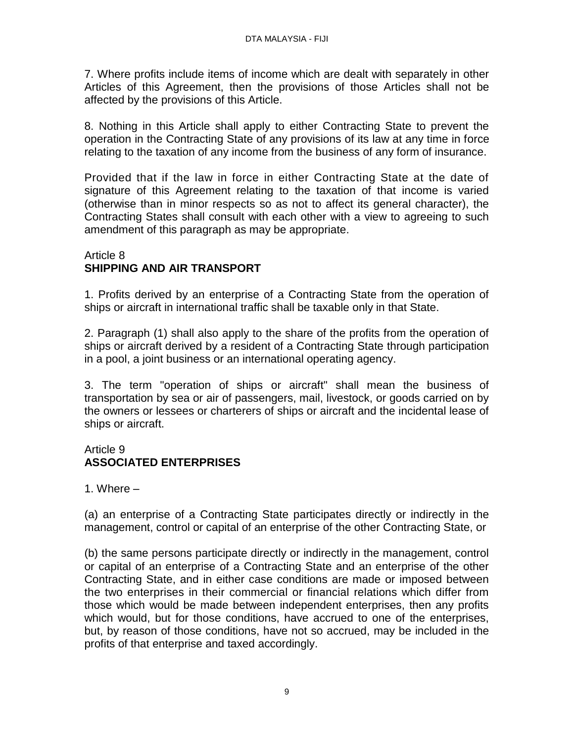7. Where profits include items of income which are dealt with separately in other Articles of this Agreement, then the provisions of those Articles shall not be affected by the provisions of this Article.

8. Nothing in this Article shall apply to either Contracting State to prevent the operation in the Contracting State of any provisions of its law at any time in force relating to the taxation of any income from the business of any form of insurance.

Provided that if the law in force in either Contracting State at the date of signature of this Agreement relating to the taxation of that income is varied (otherwise than in minor respects so as not to affect its general character), the Contracting States shall consult with each other with a view to agreeing to such amendment of this paragraph as may be appropriate.

### Article 8 **SHIPPING AND AIR TRANSPORT**

1. Profits derived by an enterprise of a Contracting State from the operation of ships or aircraft in international traffic shall be taxable only in that State.

2. Paragraph (1) shall also apply to the share of the profits from the operation of ships or aircraft derived by a resident of a Contracting State through participation in a pool, a joint business or an international operating agency.

3. The term "operation of ships or aircraft" shall mean the business of transportation by sea or air of passengers, mail, livestock, or goods carried on by the owners or lessees or charterers of ships or aircraft and the incidental lease of ships or aircraft.

## Article 9 **ASSOCIATED ENTERPRISES**

1. Where –

(a) an enterprise of a Contracting State participates directly or indirectly in the management, control or capital of an enterprise of the other Contracting State, or

(b) the same persons participate directly or indirectly in the management, control or capital of an enterprise of a Contracting State and an enterprise of the other Contracting State, and in either case conditions are made or imposed between the two enterprises in their commercial or financial relations which differ from those which would be made between independent enterprises, then any profits which would, but for those conditions, have accrued to one of the enterprises, but, by reason of those conditions, have not so accrued, may be included in the profits of that enterprise and taxed accordingly.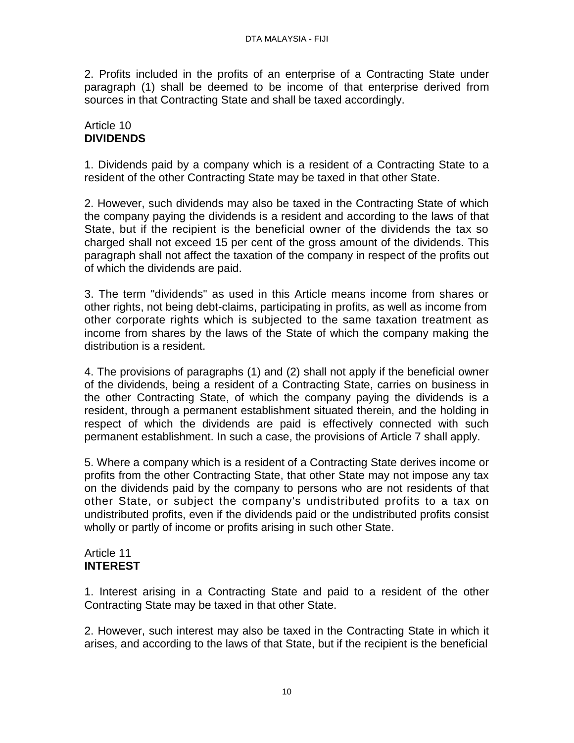2. Profits included in the profits of an enterprise of a Contracting State under paragraph (1) shall be deemed to be income of that enterprise derived from sources in that Contracting State and shall be taxed accordingly.

# Article 10 **DIVIDENDS**

1. Dividends paid by a company which is a resident of a Contracting State to a resident of the other Contracting State may be taxed in that other State.

2. However, such dividends may also be taxed in the Contracting State of which the company paying the dividends is a resident and according to the laws of that State, but if the recipient is the beneficial owner of the dividends the tax so charged shall not exceed 15 per cent of the gross amount of the dividends. This paragraph shall not affect the taxation of the company in respect of the profits out of which the dividends are paid.

3. The term "dividends" as used in this Article means income from shares or other rights, not being debt-claims, participating in profits, as well as income from other corporate rights which is subjected to the same taxation treatment as income from shares by the laws of the State of which the company making the distribution is a resident.

4. The provisions of paragraphs (1) and (2) shall not apply if the beneficial owner of the dividends, being a resident of a Contracting State, carries on business in the other Contracting State, of which the company paying the dividends is a resident, through a permanent establishment situated therein, and the holding in respect of which the dividends are paid is effectively connected with such permanent establishment. In such a case, the provisions of Article 7 shall apply.

5. Where a company which is a resident of a Contracting State derives income or profits from the other Contracting State, that other State may not impose any tax on the dividends paid by the company to persons who are not residents of that other State, or subject the company's undistributed profits to a tax on undistributed profits, even if the dividends paid or the undistributed profits consist wholly or partly of income or profits arising in such other State.

### Article 11 **INTEREST**

1. Interest arising in a Contracting State and paid to a resident of the other Contracting State may be taxed in that other State.

2. However, such interest may also be taxed in the Contracting State in which it arises, and according to the laws of that State, but if the recipient is the beneficial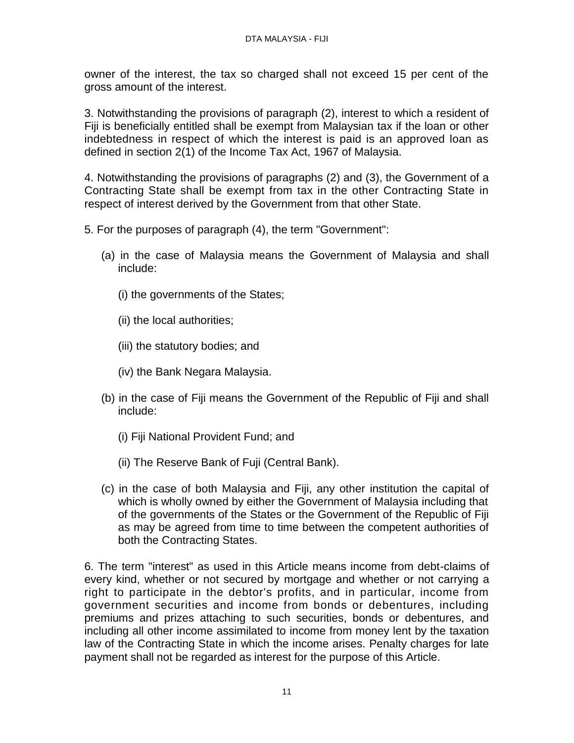owner of the interest, the tax so charged shall not exceed 15 per cent of the gross amount of the interest.

3. Notwithstanding the provisions of paragraph (2), interest to which a resident of Fiji is beneficially entitled shall be exempt from Malaysian tax if the loan or other indebtedness in respect of which the interest is paid is an approved loan as defined in section 2(1) of the Income Tax Act, 1967 of Malaysia.

4. Notwithstanding the provisions of paragraphs (2) and (3), the Government of a Contracting State shall be exempt from tax in the other Contracting State in respect of interest derived by the Government from that other State.

- 5. For the purposes of paragraph (4), the term "Government":
	- (a) in the case of Malaysia means the Government of Malaysia and shall include:
		- (i) the governments of the States;
		- (ii) the local authorities;
		- (iii) the statutory bodies; and
		- (iv) the Bank Negara Malaysia.
	- (b) in the case of Fiji means the Government of the Republic of Fiji and shall include:
		- (i) Fiji National Provident Fund; and
		- (ii) The Reserve Bank of Fuji (Central Bank).
	- (c) in the case of both Malaysia and Fiji, any other institution the capital of which is wholly owned by either the Government of Malaysia including that of the governments of the States or the Government of the Republic of Fiji as may be agreed from time to time between the competent authorities of both the Contracting States.

6. The term "interest" as used in this Article means income from debt-claims of every kind, whether or not secured by mortgage and whether or not carrying a right to participate in the debtor's profits, and in particular, income from government securities and income from bonds or debentures, including premiums and prizes attaching to such securities, bonds or debentures, and including all other income assimilated to income from money lent by the taxation law of the Contracting State in which the income arises. Penalty charges for late payment shall not be regarded as interest for the purpose of this Article.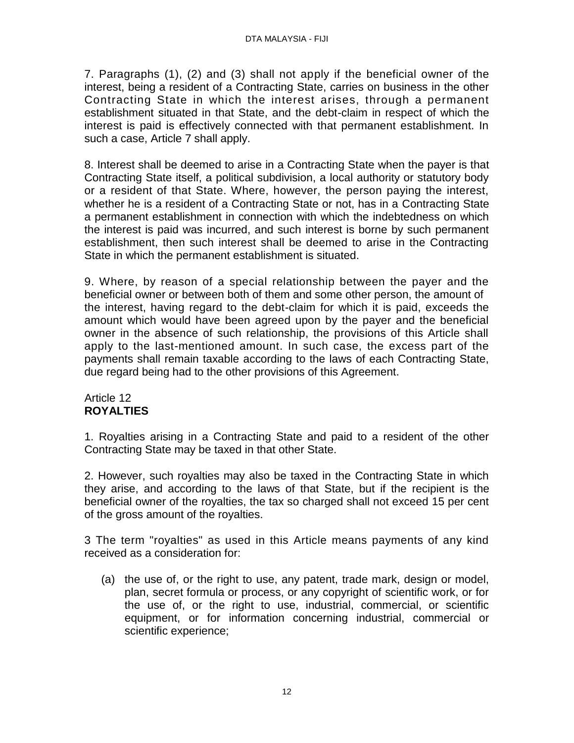7. Paragraphs (1), (2) and (3) shall not apply if the beneficial owner of the interest, being a resident of a Contracting State, carries on business in the other Contracting State in which the interest arises, through a permanent establishment situated in that State, and the debt-claim in respect of which the interest is paid is effectively connected with that permanent establishment. In such a case, Article 7 shall apply.

8. Interest shall be deemed to arise in a Contracting State when the payer is that Contracting State itself, a political subdivision, a local authority or statutory body or a resident of that State. Where, however, the person paying the interest, whether he is a resident of a Contracting State or not, has in a Contracting State a permanent establishment in connection with which the indebtedness on which the interest is paid was incurred, and such interest is borne by such permanent establishment, then such interest shall be deemed to arise in the Contracting State in which the permanent establishment is situated.

9. Where, by reason of a special relationship between the payer and the beneficial owner or between both of them and some other person, the amount of the interest, having regard to the debt-claim for which it is paid, exceeds the amount which would have been agreed upon by the payer and the beneficial owner in the absence of such relationship, the provisions of this Article shall apply to the last-mentioned amount. In such case, the excess part of the payments shall remain taxable according to the laws of each Contracting State, due regard being had to the other provisions of this Agreement.

## Article 12 **ROYALTIES**

1. Royalties arising in a Contracting State and paid to a resident of the other Contracting State may be taxed in that other State.

2. However, such royalties may also be taxed in the Contracting State in which they arise, and according to the laws of that State, but if the recipient is the beneficial owner of the royalties, the tax so charged shall not exceed 15 per cent of the gross amount of the royalties.

3 The term "royalties" as used in this Article means payments of any kind received as a consideration for:

(a) the use of, or the right to use, any patent, trade mark, design or model, plan, secret formula or process, or any copyright of scientific work, or for the use of, or the right to use, industrial, commercial, or scientific equipment, or for information concerning industrial, commercial or scientific experience;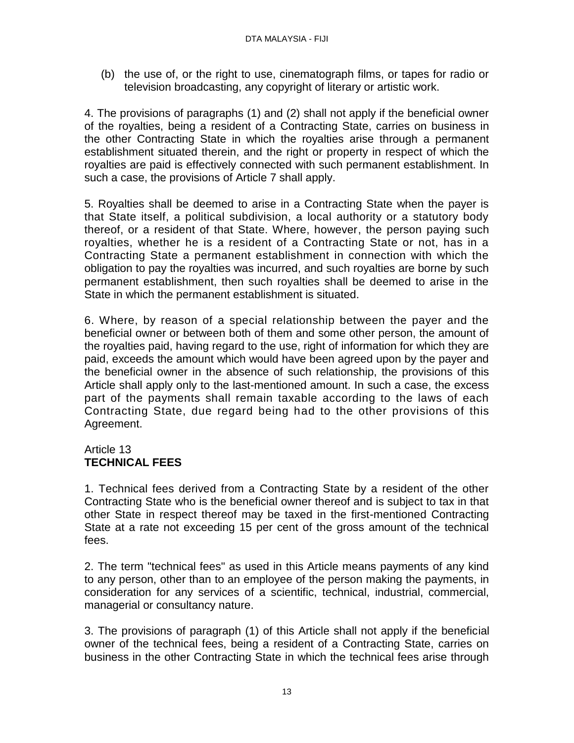(b) the use of, or the right to use, cinematograph films, or tapes for radio or television broadcasting, any copyright of literary or artistic work.

4. The provisions of paragraphs (1) and (2) shall not apply if the beneficial owner of the royalties, being a resident of a Contracting State, carries on business in the other Contracting State in which the royalties arise through a permanent establishment situated therein, and the right or property in respect of which the royalties are paid is effectively connected with such permanent establishment. In such a case, the provisions of Article 7 shall apply.

5. Royalties shall be deemed to arise in a Contracting State when the payer is that State itself, a political subdivision, a local authority or a statutory body thereof, or a resident of that State. Where, however, the person paying such royalties, whether he is a resident of a Contracting State or not, has in a Contracting State a permanent establishment in connection with which the obligation to pay the royalties was incurred, and such royalties are borne by such permanent establishment, then such royalties shall be deemed to arise in the State in which the permanent establishment is situated.

6. Where, by reason of a special relationship between the payer and the beneficial owner or between both of them and some other person, the amount of the royalties paid, having regard to the use, right of information for which they are paid, exceeds the amount which would have been agreed upon by the payer and the beneficial owner in the absence of such relationship, the provisions of this Article shall apply only to the last-mentioned amount. In such a case, the excess part of the payments shall remain taxable according to the laws of each Contracting State, due regard being had to the other provisions of this Agreement.

# Article 13 **TECHNICAL FEES**

1. Technical fees derived from a Contracting State by a resident of the other Contracting State who is the beneficial owner thereof and is subject to tax in that other State in respect thereof may be taxed in the first-mentioned Contracting State at a rate not exceeding 15 per cent of the gross amount of the technical fees.

2. The term "technical fees" as used in this Article means payments of any kind to any person, other than to an employee of the person making the payments, in consideration for any services of a scientific, technical, industrial, commercial, managerial or consultancy nature.

3. The provisions of paragraph (1) of this Article shall not apply if the beneficial owner of the technical fees, being a resident of a Contracting State, carries on business in the other Contracting State in which the technical fees arise through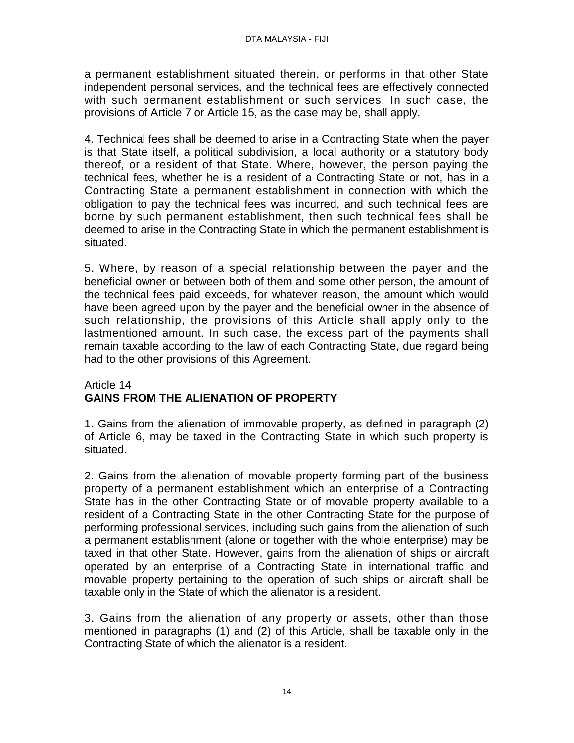a permanent establishment situated therein, or performs in that other State independent personal services, and the technical fees are effectively connected with such permanent establishment or such services. In such case, the provisions of Article 7 or Article 15, as the case may be, shall apply.

4. Technical fees shall be deemed to arise in a Contracting State when the payer is that State itself, a political subdivision, a local authority or a statutory body thereof, or a resident of that State. Where, however, the person paying the technical fees, whether he is a resident of a Contracting State or not, has in a Contracting State a permanent establishment in connection with which the obligation to pay the technical fees was incurred, and such technical fees are borne by such permanent establishment, then such technical fees shall be deemed to arise in the Contracting State in which the permanent establishment is situated.

5. Where, by reason of a special relationship between the payer and the beneficial owner or between both of them and some other person, the amount of the technical fees paid exceeds, for whatever reason, the amount which would have been agreed upon by the payer and the beneficial owner in the absence of such relationship, the provisions of this Article shall apply only to the lastmentioned amount. In such case, the excess part of the payments shall remain taxable according to the law of each Contracting State, due regard being had to the other provisions of this Agreement.

## Article 14 **GAINS FROM THE ALIENATION OF PROPERTY**

1. Gains from the alienation of immovable property, as defined in paragraph (2) of Article 6, may be taxed in the Contracting State in which such property is situated.

2. Gains from the alienation of movable property forming part of the business property of a permanent establishment which an enterprise of a Contracting State has in the other Contracting State or of movable property available to a resident of a Contracting State in the other Contracting State for the purpose of performing professional services, including such gains from the alienation of such a permanent establishment (alone or together with the whole enterprise) may be taxed in that other State. However, gains from the alienation of ships or aircraft operated by an enterprise of a Contracting State in international traffic and movable property pertaining to the operation of such ships or aircraft shall be taxable only in the State of which the alienator is a resident.

3. Gains from the alienation of any property or assets, other than those mentioned in paragraphs (1) and (2) of this Article, shall be taxable only in the Contracting State of which the alienator is a resident.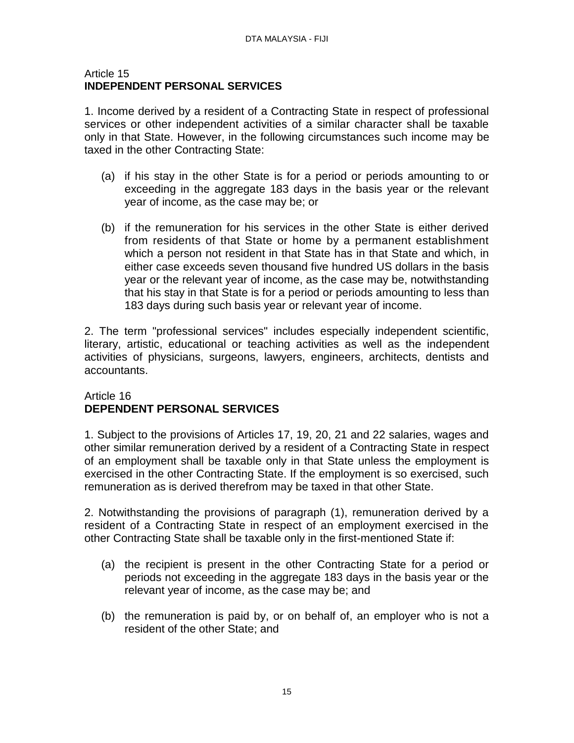#### Article 15 **INDEPENDENT PERSONAL SERVICES**

1. Income derived by a resident of a Contracting State in respect of professional services or other independent activities of a similar character shall be taxable only in that State. However, in the following circumstances such income may be taxed in the other Contracting State:

- (a) if his stay in the other State is for a period or periods amounting to or exceeding in the aggregate 183 days in the basis year or the relevant year of income, as the case may be; or
- (b) if the remuneration for his services in the other State is either derived from residents of that State or home by a permanent establishment which a person not resident in that State has in that State and which, in either case exceeds seven thousand five hundred US dollars in the basis year or the relevant year of income, as the case may be, notwithstanding that his stay in that State is for a period or periods amounting to less than 183 days during such basis year or relevant year of income.

2. The term "professional services" includes especially independent scientific, literary, artistic, educational or teaching activities as well as the independent activities of physicians, surgeons, lawyers, engineers, architects, dentists and accountants.

## Article 16 **DEPENDENT PERSONAL SERVICES**

1. Subject to the provisions of Articles 17, 19, 20, 21 and 22 salaries, wages and other similar remuneration derived by a resident of a Contracting State in respect of an employment shall be taxable only in that State unless the employment is exercised in the other Contracting State. If the employment is so exercised, such remuneration as is derived therefrom may be taxed in that other State.

2. Notwithstanding the provisions of paragraph (1), remuneration derived by a resident of a Contracting State in respect of an employment exercised in the other Contracting State shall be taxable only in the first-mentioned State if:

- (a) the recipient is present in the other Contracting State for a period or periods not exceeding in the aggregate 183 days in the basis year or the relevant year of income, as the case may be; and
- (b) the remuneration is paid by, or on behalf of, an employer who is not a resident of the other State; and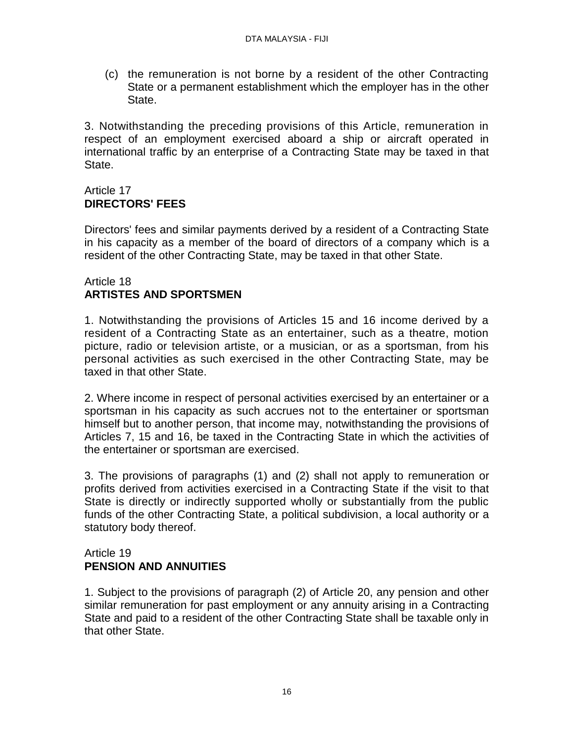(c) the remuneration is not borne by a resident of the other Contracting State or a permanent establishment which the employer has in the other State.

3. Notwithstanding the preceding provisions of this Article, remuneration in respect of an employment exercised aboard a ship or aircraft operated in international traffic by an enterprise of a Contracting State may be taxed in that State.

# Article 17 **DIRECTORS' FEES**

Directors' fees and similar payments derived by a resident of a Contracting State in his capacity as a member of the board of directors of a company which is a resident of the other Contracting State, may be taxed in that other State.

### Article 18 **ARTISTES AND SPORTSMEN**

1. Notwithstanding the provisions of Articles 15 and 16 income derived by a resident of a Contracting State as an entertainer, such as a theatre, motion picture, radio or television artiste, or a musician, or as a sportsman, from his personal activities as such exercised in the other Contracting State, may be taxed in that other State.

2. Where income in respect of personal activities exercised by an entertainer or a sportsman in his capacity as such accrues not to the entertainer or sportsman himself but to another person, that income may, notwithstanding the provisions of Articles 7, 15 and 16, be taxed in the Contracting State in which the activities of the entertainer or sportsman are exercised.

3. The provisions of paragraphs (1) and (2) shall not apply to remuneration or profits derived from activities exercised in a Contracting State if the visit to that State is directly or indirectly supported wholly or substantially from the public funds of the other Contracting State, a political subdivision, a local authority or a statutory body thereof.

### Article 19 **PENSION AND ANNUITIES**

1. Subject to the provisions of paragraph (2) of Article 20, any pension and other similar remuneration for past employment or any annuity arising in a Contracting State and paid to a resident of the other Contracting State shall be taxable only in that other State.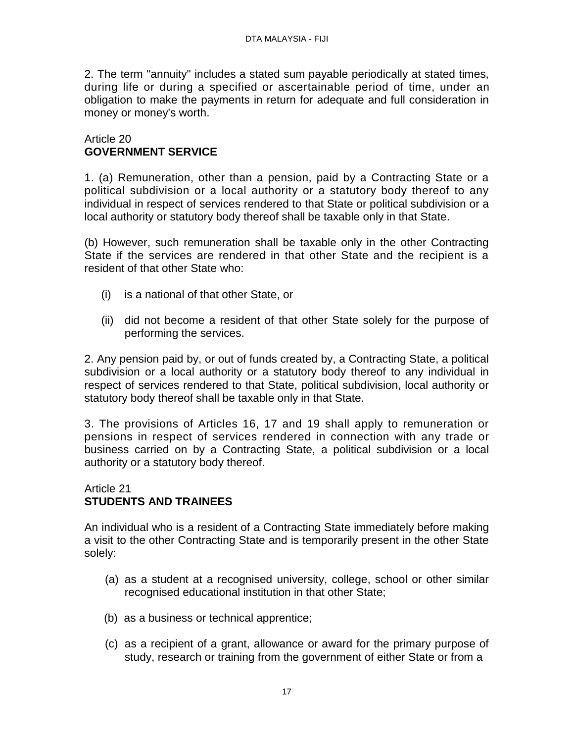2. The term "annuity" includes a stated sum payable periodically at stated times, during life or during a specified or ascertainable period of time, under an obligation to make the payments in return for adequate and full consideration in money or money's worth.

### Article 20 **GOVERNMENT SERVICE**

1. (a) Remuneration, other than a pension, paid by a Contracting State or a political subdivision or a local authority or a statutory body thereof to any individual in respect of services rendered to that State or political subdivision or a local authority or statutory body thereof shall be taxable only in that State.

(b) However, such remuneration shall be taxable only in the other Contracting State if the services are rendered in that other State and the recipient is a resident of that other State who:

- (i) is a national of that other State, or
- (ii) did not become a resident of that other State solely for the purpose of performing the services.

2. Any pension paid by, or out of funds created by, a Contracting State, a political subdivision or a local authority or a statutory body thereof to any individual in respect of services rendered to that State, political subdivision, local authority or statutory body thereof shall be taxable only in that State.

3. The provisions of Articles 16, 17 and 19 shall apply to remuneration or pensions in respect of services rendered in connection with any trade or business carried on by a Contracting State, a political subdivision or a local authority or a statutory body thereof.

### Article 21 **STUDENTS AND TRAINEES**

An individual who is a resident of a Contracting State immediately before making a visit to the other Contracting State and is temporarily present in the other State solely:

- (a) as a student at a recognised university, college, school or other similar recognised educational institution in that other State;
- (b) as a business or technical apprentice;
- (c) as a recipient of a grant, allowance or award for the primary purpose of study, research or training from the government of either State or from a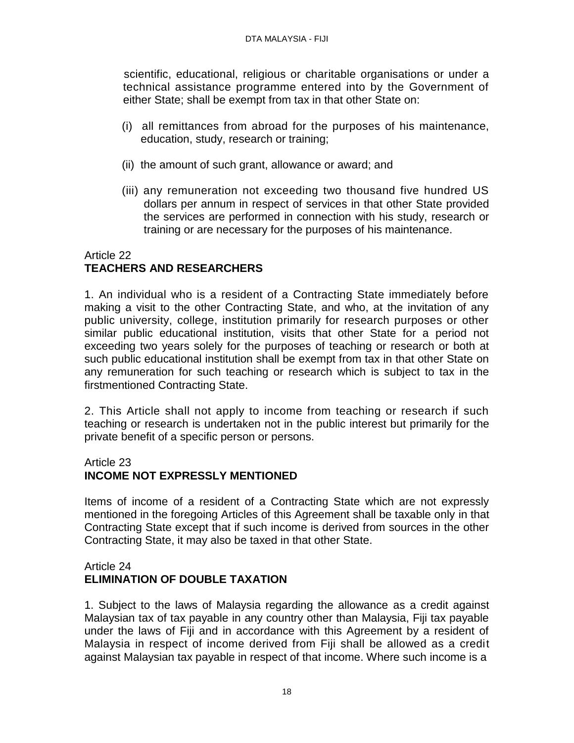scientific, educational, religious or charitable organisations or under a technical assistance programme entered into by the Government of either State; shall be exempt from tax in that other State on:

- (i) all remittances from abroad for the purposes of his maintenance, education, study, research or training;
- (ii) the amount of such grant, allowance or award; and
- (iii) any remuneration not exceeding two thousand five hundred US dollars per annum in respect of services in that other State provided the services are performed in connection with his study, research or training or are necessary for the purposes of his maintenance.

## Article 22 **TEACHERS AND RESEARCHERS**

1. An individual who is a resident of a Contracting State immediately before making a visit to the other Contracting State, and who, at the invitation of any public university, college, institution primarily for research purposes or other similar public educational institution, visits that other State for a period not exceeding two years solely for the purposes of teaching or research or both at such public educational institution shall be exempt from tax in that other State on any remuneration for such teaching or research which is subject to tax in the firstmentioned Contracting State.

2. This Article shall not apply to income from teaching or research if such teaching or research is undertaken not in the public interest but primarily for the private benefit of a specific person or persons.

# Article 23

# **INCOME NOT EXPRESSLY MENTIONED**

Items of income of a resident of a Contracting State which are not expressly mentioned in the foregoing Articles of this Agreement shall be taxable only in that Contracting State except that if such income is derived from sources in the other Contracting State, it may also be taxed in that other State.

## Article 24 **ELIMINATION OF DOUBLE TAXATION**

1. Subject to the laws of Malaysia regarding the allowance as a credit against Malaysian tax of tax payable in any country other than Malaysia, Fiji tax payable under the laws of Fiji and in accordance with this Agreement by a resident of Malaysia in respect of income derived from Fiji shall be allowed as a credit against Malaysian tax payable in respect of that income. Where such income is a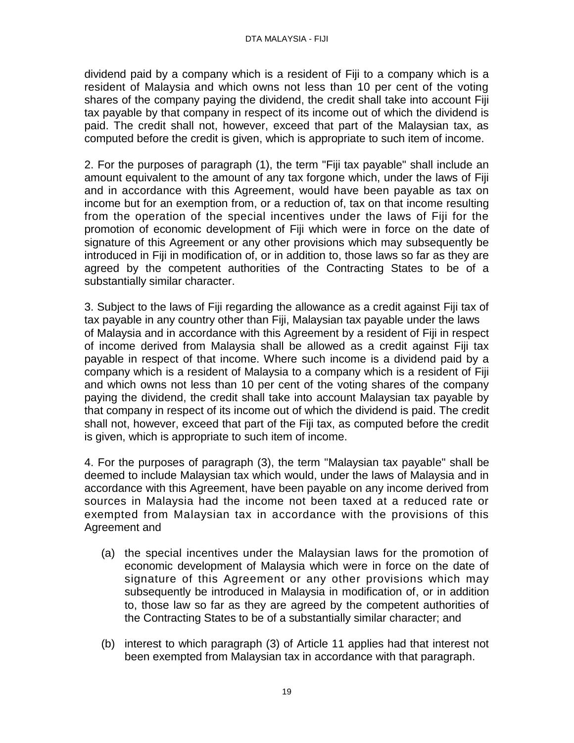dividend paid by a company which is a resident of Fiji to a company which is a resident of Malaysia and which owns not less than 10 per cent of the voting shares of the company paying the dividend, the credit shall take into account Fiji tax payable by that company in respect of its income out of which the dividend is paid. The credit shall not, however, exceed that part of the Malaysian tax, as computed before the credit is given, which is appropriate to such item of income.

2. For the purposes of paragraph (1), the term "Fiji tax payable" shall include an amount equivalent to the amount of any tax forgone which, under the laws of Fiji and in accordance with this Agreement, would have been payable as tax on income but for an exemption from, or a reduction of, tax on that income resulting from the operation of the special incentives under the laws of Fiji for the promotion of economic development of Fiji which were in force on the date of signature of this Agreement or any other provisions which may subsequently be introduced in Fiji in modification of, or in addition to, those laws so far as they are agreed by the competent authorities of the Contracting States to be of a substantially similar character.

3. Subject to the laws of Fiji regarding the allowance as a credit against Fiji tax of tax payable in any country other than Fiji, Malaysian tax payable under the laws of Malaysia and in accordance with this Agreement by a resident of Fiji in respect of income derived from Malaysia shall be allowed as a credit against Fiji tax payable in respect of that income. Where such income is a dividend paid by a company which is a resident of Malaysia to a company which is a resident of Fiji and which owns not less than 10 per cent of the voting shares of the company paying the dividend, the credit shall take into account Malaysian tax payable by that company in respect of its income out of which the dividend is paid. The credit shall not, however, exceed that part of the Fiji tax, as computed before the credit is given, which is appropriate to such item of income.

4. For the purposes of paragraph (3), the term "Malaysian tax payable" shall be deemed to include Malaysian tax which would, under the laws of Malaysia and in accordance with this Agreement, have been payable on any income derived from sources in Malaysia had the income not been taxed at a reduced rate or exempted from Malaysian tax in accordance with the provisions of this Agreement and

- (a) the special incentives under the Malaysian laws for the promotion of economic development of Malaysia which were in force on the date of signature of this Agreement or any other provisions which may subsequently be introduced in Malaysia in modification of, or in addition to, those law so far as they are agreed by the competent authorities of the Contracting States to be of a substantially similar character; and
- (b) interest to which paragraph (3) of Article 11 applies had that interest not been exempted from Malaysian tax in accordance with that paragraph.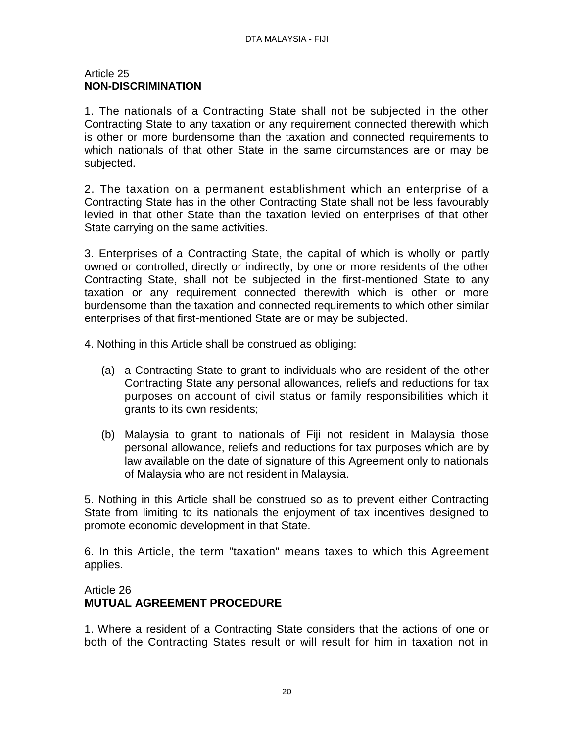#### Article 25 **NON-DISCRIMINATION**

1. The nationals of a Contracting State shall not be subjected in the other Contracting State to any taxation or any requirement connected therewith which is other or more burdensome than the taxation and connected requirements to which nationals of that other State in the same circumstances are or may be subjected.

2. The taxation on a permanent establishment which an enterprise of a Contracting State has in the other Contracting State shall not be less favourably levied in that other State than the taxation levied on enterprises of that other State carrying on the same activities.

3. Enterprises of a Contracting State, the capital of which is wholly or partly owned or controlled, directly or indirectly, by one or more residents of the other Contracting State, shall not be subjected in the first-mentioned State to any taxation or any requirement connected therewith which is other or more burdensome than the taxation and connected requirements to which other similar enterprises of that first-mentioned State are or may be subjected.

4. Nothing in this Article shall be construed as obliging:

- (a) a Contracting State to grant to individuals who are resident of the other Contracting State any personal allowances, reliefs and reductions for tax purposes on account of civil status or family responsibilities which it grants to its own residents;
- (b) Malaysia to grant to nationals of Fiji not resident in Malaysia those personal allowance, reliefs and reductions for tax purposes which are by law available on the date of signature of this Agreement only to nationals of Malaysia who are not resident in Malaysia.

5. Nothing in this Article shall be construed so as to prevent either Contracting State from limiting to its nationals the enjoyment of tax incentives designed to promote economic development in that State.

6. In this Article, the term "taxation" means taxes to which this Agreement applies.

#### Article 26 **MUTUAL AGREEMENT PROCEDURE**

1. Where a resident of a Contracting State considers that the actions of one or both of the Contracting States result or will result for him in taxation not in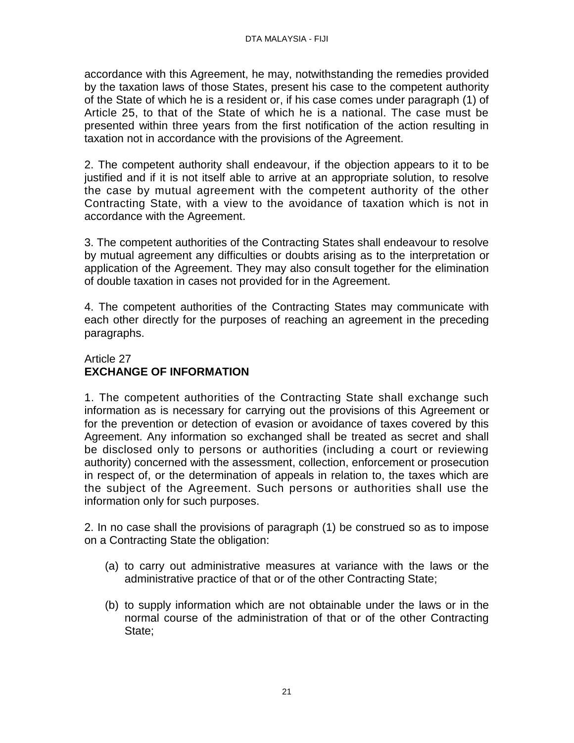accordance with this Agreement, he may, notwithstanding the remedies provided by the taxation laws of those States, present his case to the competent authority of the State of which he is a resident or, if his case comes under paragraph (1) of Article 25, to that of the State of which he is a national. The case must be presented within three years from the first notification of the action resulting in taxation not in accordance with the provisions of the Agreement.

2. The competent authority shall endeavour, if the objection appears to it to be justified and if it is not itself able to arrive at an appropriate solution, to resolve the case by mutual agreement with the competent authority of the other Contracting State, with a view to the avoidance of taxation which is not in accordance with the Agreement.

3. The competent authorities of the Contracting States shall endeavour to resolve by mutual agreement any difficulties or doubts arising as to the interpretation or application of the Agreement. They may also consult together for the elimination of double taxation in cases not provided for in the Agreement.

4. The competent authorities of the Contracting States may communicate with each other directly for the purposes of reaching an agreement in the preceding paragraphs.

## Article 27 **EXCHANGE OF INFORMATION**

1. The competent authorities of the Contracting State shall exchange such information as is necessary for carrying out the provisions of this Agreement or for the prevention or detection of evasion or avoidance of taxes covered by this Agreement. Any information so exchanged shall be treated as secret and shall be disclosed only to persons or authorities (including a court or reviewing authority) concerned with the assessment, collection, enforcement or prosecution in respect of, or the determination of appeals in relation to, the taxes which are the subject of the Agreement. Such persons or authorities shall use the information only for such purposes.

2. In no case shall the provisions of paragraph (1) be construed so as to impose on a Contracting State the obligation:

- (a) to carry out administrative measures at variance with the laws or the administrative practice of that or of the other Contracting State;
- (b) to supply information which are not obtainable under the laws or in the normal course of the administration of that or of the other Contracting State;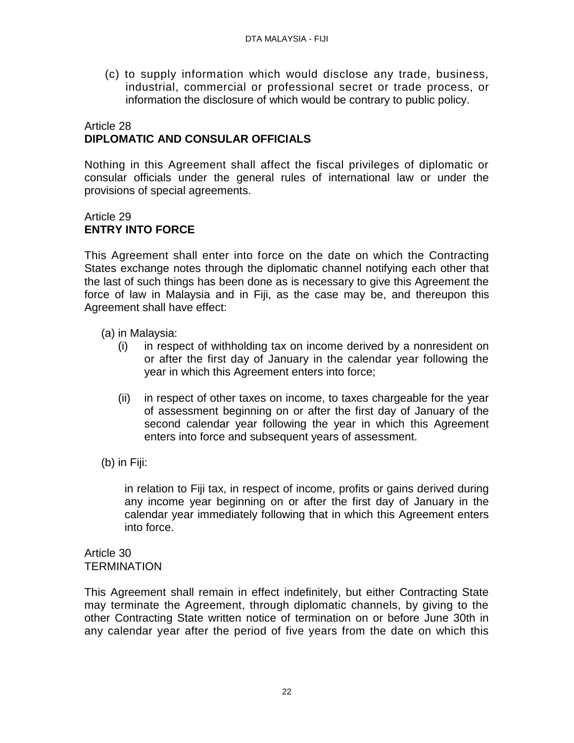(c) to supply information which would disclose any trade, business, industrial, commercial or professional secret or trade process, or information the disclosure of which would be contrary to public policy.

### Article 28 **DIPLOMATIC AND CONSULAR OFFICIALS**

Nothing in this Agreement shall affect the fiscal privileges of diplomatic or consular officials under the general rules of international law or under the provisions of special agreements.

# Article 29 **ENTRY INTO FORCE**

This Agreement shall enter into force on the date on which the Contracting States exchange notes through the diplomatic channel notifying each other that the last of such things has been done as is necessary to give this Agreement the force of law in Malaysia and in Fiji, as the case may be, and thereupon this Agreement shall have effect:

- (a) in Malaysia:
	- (i) in respect of withholding tax on income derived by a nonresident on or after the first day of January in the calendar year following the year in which this Agreement enters into force;
	- (ii) in respect of other taxes on income, to taxes chargeable for the year of assessment beginning on or after the first day of January of the second calendar year following the year in which this Agreement enters into force and subsequent years of assessment.
- (b) in Fiji:

in relation to Fiji tax, in respect of income, profits or gains derived during any income year beginning on or after the first day of January in the calendar year immediately following that in which this Agreement enters into force.

Article 30 **TERMINATION** 

This Agreement shall remain in effect indefinitely, but either Contracting State may terminate the Agreement, through diplomatic channels, by giving to the other Contracting State written notice of termination on or before June 30th in any calendar year after the period of five years from the date on which this